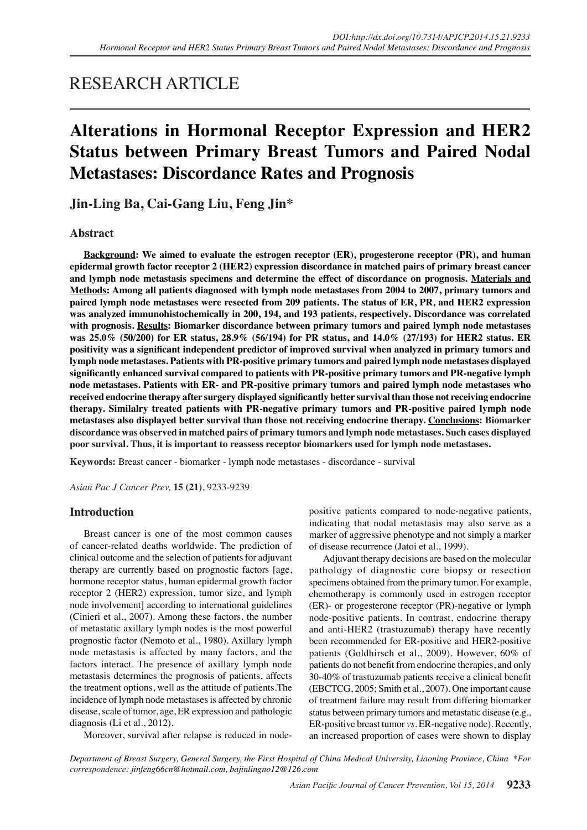## RESEARCH ARTICLE

# **Alterations in Hormonal Receptor Expression and HER2 Status between Primary Breast Tumors and Paired Nodal Metastases: Discordance Rates and Prognosis**

**Jin-Ling Ba, Cai-Gang Liu, Feng Jin\***

## **Abstract**

**Background: We aimed to evaluate the estrogen receptor (ER), progesterone receptor (PR), and human epidermal growth factor receptor 2 (HER2) expression discordance in matched pairs of primary breast cancer and lymph node metastasis specimens and determine the effect of discordance on prognosis. Materials and Methods: Among all patients diagnosed with lymph node metastases from 2004 to 2007, primary tumors and paired lymph node metastases were resected from 209 patients. The status of ER, PR, and HER2 expression was analyzed immunohistochemically in 200, 194, and 193 patients, respectively. Discordance was correlated with prognosis. Results: Biomarker discordance between primary tumors and paired lymph node metastases was 25.0% (50/200) for ER status, 28.9% (56/194) for PR status, and 14.0% (27/193) for HER2 status. ER positivity was a significant independent predictor of improved survival when analyzed in primary tumors and lymph node metastases. Patients with PR-positive primary tumors and paired lymph node metastases displayed significantly enhanced survival compared to patients with PR-positive primary tumors and PR-negative lymph node metastases. Patients with ER- and PR-positive primary tumors and paired lymph node metastases who received endocrine therapy after surgery displayed significantly better survival than those not receiving endocrine therapy. Similalry treated patients with PR-negative primary tumors and PR-positive paired lymph node metastases also displayed better survival than those not receiving endocrine therapy. Conclusions: Biomarker discordance was observed in matched pairs of primary tumors and lymph node metastases. Such cases displayed poor survival. Thus, it is important to reassess receptor biomarkers used for lymph node metastases.**

**Keywords:** Breast cancer - biomarker - lymph node metastases - discordance - survival

*Asian Pac J Cancer Prev,* **15 (21)**, 9233-9239

### **Introduction**

Breast cancer is one of the most common causes of cancer-related deaths worldwide. The prediction of clinical outcome and the selection of patients for adjuvant therapy are currently based on prognostic factors [age, hormone receptor status, human epidermal growth factor receptor 2 (HER2) expression, tumor size, and lymph node involvement] according to international guidelines (Cinieri et al., 2007). Among these factors, the number of metastatic axillary lymph nodes is the most powerful prognostic factor (Nemoto et al., 1980). Axillary lymph node metastasis is affected by many factors, and the factors interact. The presence of axillary lymph node metastasis determines the prognosis of patients, affects the treatment options, well as the attitude of patients.The incidence of lymph node metastases is affected by chronic disease, scale of tumor, age, ER expression and pathologic diagnosis (Li et al., 2012).

positive patients compared to node-negative patients, indicating that nodal metastasis may also serve as a marker of aggressive phenotype and not simply a marker of disease recurrence (Jatoi et al., 1999).

Adjuvant therapy decisions are based on the molecular pathology of diagnostic core biopsy or resection specimens obtained from the primary tumor. For example, chemotherapy is commonly used in estrogen receptor (ER)- or progesterone receptor (PR)-negative or lymph node-positive patients. In contrast, endocrine therapy and anti-HER2 (trastuzumab) therapy have recently been recommended for ER-positive and HER2-positive patients (Goldhirsch et al., 2009). However, 60% of patients do not benefit from endocrine therapies, and only 30-40% of trastuzumab patients receive a clinical benefit (EBCTCG, 2005; Smith et al., 2007). One important cause of treatment failure may result from differing biomarker status between primary tumors and metastatic disease (e.g., ER-positive breast tumor *vs.* ER-negative node). Recently, an increased proportion of cases were shown to display

Moreover, survival after relapse is reduced in node-

*Department of Breast Surgery, General Surgery, the First Hospital of China Medical University, Liaoning Province, China \*For correspondence: jinfeng66cn@hotmail.com, bajinlingno12@126.com*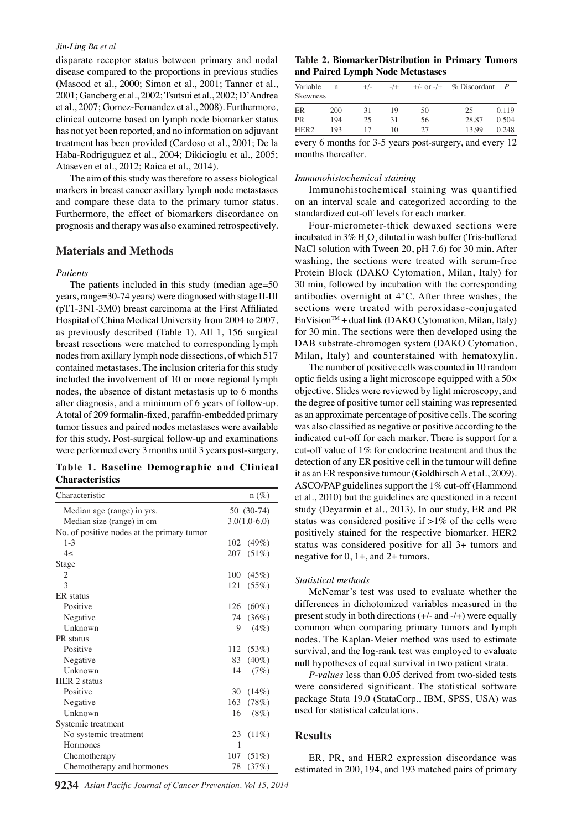#### *Jin-Ling Ba et al*

disparate receptor status between primary and nodal disease compared to the proportions in previous studies (Masood et al., 2000; Simon et al., 2001; Tanner et al., 2001; Gancberg et al., 2002; Tsutsui et al., 2002; D'Andrea et al., 2007; Gomez-Fernandez et al., 2008). Furthermore, clinical outcome based on lymph node biomarker status has not yet been reported, and no information on adjuvant treatment has been provided (Cardoso et al., 2001; De la Haba-Rodriguguez et al., 2004; Dikicioglu et al., 2005; Ataseven et al., 2012; Raica et al., 2014).

The aim of this study was therefore to assess biological markers in breast cancer axillary lymph node metastases and compare these data to the primary tumor status. Furthermore, the effect of biomarkers discordance on prognosis and therapy was also examined retrospectively.

#### **Materials and Methods**

#### *Patients*

The patients included in this study (median age=50 years, range=30-74 years) were diagnosed with stage II-III (pT1-3N1-3M0) breast carcinoma at the First Affiliated Hospital of China Medical University from 2004 to 2007, as previously described (Table 1). All 1, 156 surgical breast resections were matched to corresponding lymph nodes from axillary lymph node dissections, of which 517 contained metastases. The inclusion criteria for this study included the involvement of 10 or more regional lymph nodes, the absence of distant metastasis up to 6 months after diagnosis, and a minimum of 6 years of follow-up. A total of 209 formalin-fixed, paraffin-embedded primary tumor tissues and paired nodes metastases were available for this study. Post-surgical follow-up and examinations were performed every 3 months until 3 years post-surgery,

**Table 1. Baseline Demographic and Clinical Characteristics**

| Characteristic                             |                | $n (\%)$  |
|--------------------------------------------|----------------|-----------|
| Median age (range) in yrs.                 | 50 (30-74)     |           |
| Median size (range) in cm                  | $3.0(1.0-6.0)$ |           |
| No. of positive nodes at the primary tumor |                |           |
| $1 - 3$                                    |                | 102 (49%) |
| 4<                                         | 207            | (51%)     |
| Stage                                      |                |           |
| 2                                          | 100            | (45%)     |
| 3                                          | 121            | $(55\%)$  |
| ER status                                  |                |           |
| Positive                                   | 126            | $(60\%)$  |
| Negative                                   | 74             | (36%)     |
| Unknown                                    | 9              | (4%)      |
| PR status                                  |                |           |
| Positive                                   | 112            | (53%)     |
| Negative                                   | 83             | $(40\%)$  |
| Unknown                                    | 14             | (7%)      |
| <b>HER 2 status</b>                        |                |           |
| Positive                                   | 30             | $(14\%)$  |
| Negative                                   | 163            | (78%)     |
| Unknown                                    | 16             | $(8\%)$   |
| Systemic treatment                         |                |           |
| No systemic treatment                      | 23             | $(11\%)$  |
| Hormones                                   | 1              |           |
| Chemotherapy                               | 107            | (51%)     |
| Chemotherapy and hormones                  | 78             | (37%)     |

#### **Table 2. BiomarkerDistribution in Primary Tumors and Paired Lymph Node Metastases**

| Variable<br><b>Skewness</b> | n                | $+/-$ | $-$ /+ | $+/- or -/+$ | % Discordant |       |
|-----------------------------|------------------|-------|--------|--------------|--------------|-------|
| ER                          | 200              | 31    | 19     | 50           | 25           | 0.119 |
| <b>PR</b>                   | 194              | 25    | 31     | 56           | 28.87        | 0.504 |
| HER <sub>2</sub>            | 193              | 17    | 10     | 27           | 13.99        | 0.248 |
|                             | $\sim$<br>$\sim$ |       | . .    |              |              |       |

every 6 months for 3-5 years post-surgery, and every 12 months thereafter.

#### *Immunohistochemical staining*

Immunohistochemical staining was quantified on an interval scale and categorized according to the standardized cut-off levels for each marker.

Four-micrometer-thick dewaxed sections were incubated in  $3\%$  H<sub>2</sub>O<sub>2</sub> diluted in wash buffer (Tris-buffered NaCl solution with Tween 20, pH 7.6) for 30 min. After washing, the sections were treated with serum-free Protein Block (DAKO Cytomation, Milan, Italy) for 30 min, followed by incubation with the corresponding antibodies overnight at 4°C. After three washes, the sections were treated with peroxidase-conjugated  $EnVision<sup>TM</sup> + dual link (DAKO Cytomation, Milan, Italy)$ for 30 min. The sections were then developed using the DAB substrate-chromogen system (DAKO Cytomation, Milan, Italy) and counterstained with hematoxylin.

The number of positive cells was counted in 10 random optic fields using a light microscope equipped with a 50× objective. Slides were reviewed by light microscopy, and the degree of positive tumor cell staining was represented as an approximate percentage of positive cells. The scoring was also classified as negative or positive according to the indicated cut-off for each marker. There is support for a cut-off value of 1% for endocrine treatment and thus the detection of any ER positive cell in the tumour will define it as an ER responsive tumour (Goldhirsch A et al., 2009). ASCO/PAP guidelines support the 1% cut-off (Hammond et al., 2010) but the guidelines are questioned in a recent study (Deyarmin et al., 2013). In our study, ER and PR status was considered positive if  $>1\%$  of the cells were positively stained for the respective biomarker. HER2 status was considered positive for all 3+ tumors and negative for 0, 1+, and 2+ tumors.

#### *Statistical methods*

McNemar's test was used to evaluate whether the differences in dichotomized variables measured in the present study in both directions  $(+/-$  and  $-/+)$  were equally common when comparing primary tumors and lymph nodes. The Kaplan-Meier method was used to estimate survival, and the log-rank test was employed to evaluate null hypotheses of equal survival in two patient strata.

*P-values* less than 0.05 derived from two-sided tests were considered significant. The statistical software package Stata 19.0 (StataCorp., IBM, SPSS, USA) was used for statistical calculations.

#### **Results**

ER, PR, and HER2 expression discordance was estimated in 200, 194, and 193 matched pairs of primary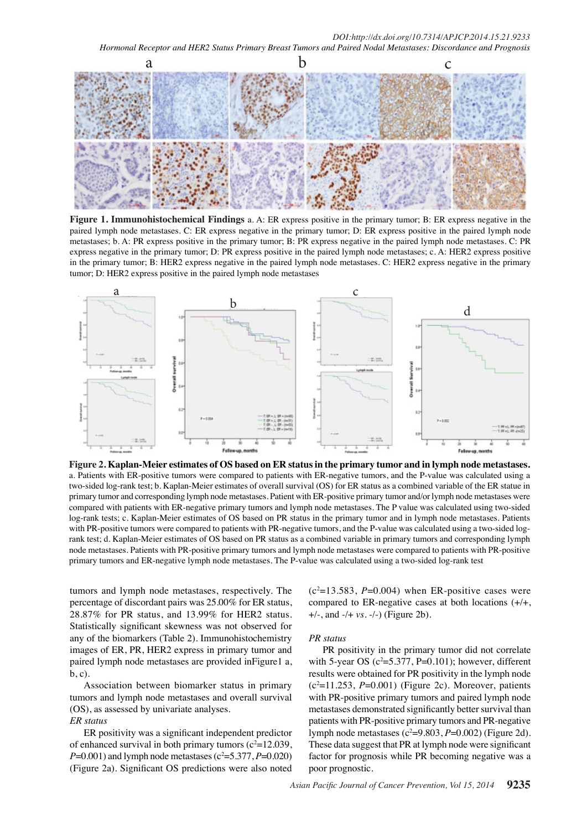

**Figure 1. Immunohistochemical Findings** a. A: ER express positive in the primary tumor; B: ER express negative in the paired lymph node metastases. C: ER express negative in the primary tumor; D: ER express positive in the paired lymph node metastases; b. A: PR express positive in the primary tumor; B: PR express negative in the paired lymph node metastases. C: PR express negative in the primary tumor; D: PR express positive in the paired lymph node metastases; c. A: HER2 express positive in the primary tumor; B: HER2 express negative in the paired lymph node metastases. C: HER2 express negative in the primary tumor; D: HER2 express positive in the paired lymph node metastases



**Figure 2. Kaplan-Meier estimates of OS based on ER status in the primary tumor and in lymph node metastases.**  a. Patients with ER-positive tumors were compared to patients with ER-negative tumors, and the P-value was calculated using a two-sided log-rank test; b. Kaplan-Meier estimates of overall survival (OS) for ER status as a combined variable of the ER statue in primary tumor and corresponding lymph node metastases. Patient with ER-positive primary tumor and/or lymph node metastases were compared with patients with ER-negative primary tumors and lymph node metastases. The P value was calculated using two-sided log-rank tests; c. Kaplan-Meier estimates of OS based on PR status in the primary tumor and in lymph node metastases. Patients with PR-positive tumors were compared to patients with PR-negative tumors, and the P-value was calculated using a two-sided logrank test; d. Kaplan-Meier estimates of OS based on PR status as a combined variable in primary tumors and corresponding lymph node metastases. Patients with PR-positive primary tumors and lymph node metastases were compared to patients with PR-positive primary tumors and ER-negative lymph node metastases. The P-value was calculated using a two-sided log-rank test

tumors and lymph node metastases, respectively. The percentage of discordant pairs was 25.00% for ER status, 28.87% for PR status, and 13.99% for HER2 status. Statistically significant skewness was not observed for any of the biomarkers (Table 2). Immunohistochemistry images of ER, PR, HER2 express in primary tumor and paired lymph node metastases are provided inFigure1 a, b, c).

Association between biomarker status in primary tumors and lymph node metastases and overall survival (OS), as assessed by univariate analyses. *ER status*

ER positivity was a significant independent predictor of enhanced survival in both primary tumors  $(c^2=12.039)$ ,  $P=0.001$ ) and lymph node metastases ( $c^2=5.377, P=0.020$ ) (Figure 2a). Significant OS predictions were also noted

 $(c^2=13.583, P=0.004)$  when ER-positive cases were compared to ER-negative cases at both locations (+/+, +/-, and -/+ *vs.* -/-) (Figure 2b).

#### *PR status*

PR positivity in the primary tumor did not correlate with 5-year OS ( $c^2$ =5.377, P=0.101); however, different results were obtained for PR positivity in the lymph node  $(c^2=11.253, P=0.001)$  (Figure 2c). Moreover, patients with PR-positive primary tumors and paired lymph node metastases demonstrated significantly better survival than patients with PR-positive primary tumors and PR-negative lymph node metastases  $(c^2=9.803, P=0.002)$  (Figure 2d). These data suggest that PR at lymph node were significant factor for prognosis while PR becoming negative was a poor prognostic.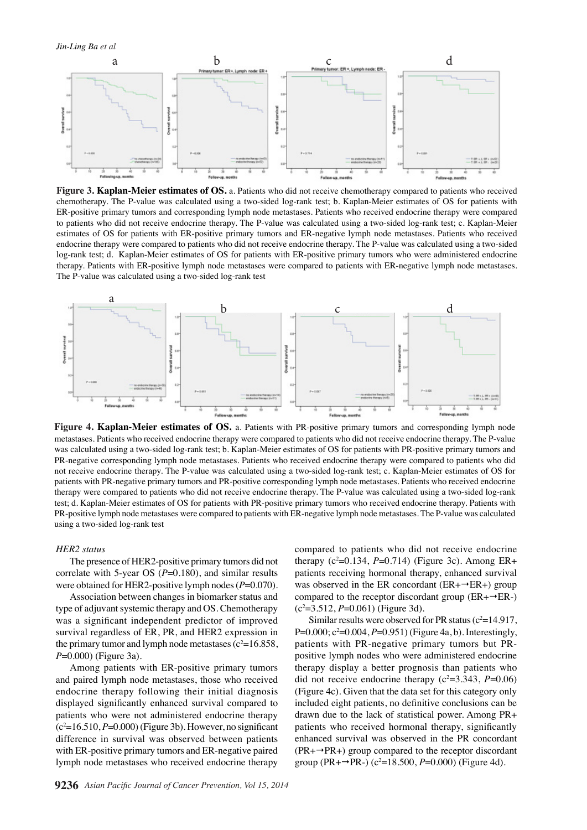

**Figure 3. Kaplan-Meier estimates of OS.** a. Patients who did not receive chemotherapy compared to patients who received chemotherapy. The P-value was calculated using a two-sided log-rank test; b. Kaplan-Meier estimates of OS for patients with ER-positive primary tumors and corresponding lymph node metastases. Patients who received endocrine therapy were compared to patients who did not receive endocrine therapy. The P-value was calculated using a two-sided log-rank test; c. Kaplan-Meier estimates of OS for patients with ER-positive primary tumors and ER-negative lymph node metastases. Patients who received endocrine therapy were compared to patients who did not receive endocrine therapy. The P-value was calculated using a two-sided log-rank test; d. Kaplan-Meier estimates of OS for patients with ER-positive primary tumors who were administered endocrine therapy. Patients with ER-positive lymph node metastases were compared to patients with ER-negative lymph node metastases. The P-value was calculated using a two-sided log-rank test



**Figure 4. Kaplan-Meier estimates of OS.** a. Patients with PR-positive primary tumors and corresponding lymph node metastases. Patients who received endocrine therapy were compared to patients who did not receive endocrine therapy. The P-value was calculated using a two-sided log-rank test; b. Kaplan-Meier estimates of OS for patients with PR-positive primary tumors and 5.0 PR-negative corresponding lymph node metastases. Patients who received endocrine therapy were compared to patients who did not receive endocrine therapy. The P-value was calculated using a two-sided log-rank test; c. Kaplan-Meier estimates of OS for patients with PR-negative primary tumors and PR-positive corresponding lymph node metastases. Patients who received endocrine therapy were compared to patients who did not receive endocrine therapy. The P-value was calculated using a two-sided log-rank **50.0** test; d. Kaplan-Meier estimates of OS for patients with PR-positive primary tumors who received endocrine therapy. Patients with PR-positive lymph node metastases were compared to patients with ER-negative lymph node metastases. The P-value was calculated using a two-sided log-rank test 25.0 25.0

#### *HER2 status*

The presence of HER2-positive primary tumors did not correlate with 5-year OS (P=0.180), and similar results were obtained for HER2-positive lymph nodes (*P*=0.070).

Association between changes in biomarker status and type of adjuvant systemic therapy and OS. Chemotherapy was a significant independent predictor of improved survival regardless of ER, PR, and HER2 expression in the primary tumor and lymph node metastases  $(c^2=16.858)$ , *P*=0.000) (Figure 3a).

Among patients with ER-positive primary tumors and paired lymph node metastases, those who received endocrine therapy following their initial diagnosis displayed significantly enhanced survival compared to patients who were not administered endocrine therapy  $(c<sup>2</sup>=16.510, P=0.000)$  (Figure 3b). However, no significant difference in survival was observed between patients with ER-positive primary tumors and ER-negative paired lymph node metastases who received endocrine therapy

compared to patients who did not receive endocrine therapy  $(c^2=0.134, P=0.714)$  (Figure 3c). Among ER+ patients receiving hormonal therapy, enhanced survival was observed in the ER concordant ( $ER+\rightarrow ER+$ ) group compared to the receptor discordant group ( $ER + \rightarrow ER-$ ) (c2 =3.512, *P*=0.061) (Figure 3d). 0 0

Similar results were observed for PR status  $(c^2=14.917)$ , P=0.000;  $c^2$ =0.004, *P*=0.951) (Figure 4a, b). Interestingly, patients with PR-negative primary tumors but PRpositive lymph nodes who were administered endocrine therapy display a better prognosis than patients who did not receive endocrine therapy  $(c^2=3.343, P=0.06)$ (Figure 4c). Given that the data set for this category only included eight patients, no definitive conclusions can be drawn due to the lack of statistical power. Among PR+ patients who received hormonal therapy, significantly enhanced survival was observed in the PR concordant  $(PR+\rightarrow PR+)$  group compared to the receptor discordant group (PR+ $\rightarrow$ PR-) (c<sup>2</sup>=18.500, *P*=0.000) (Figure 4d).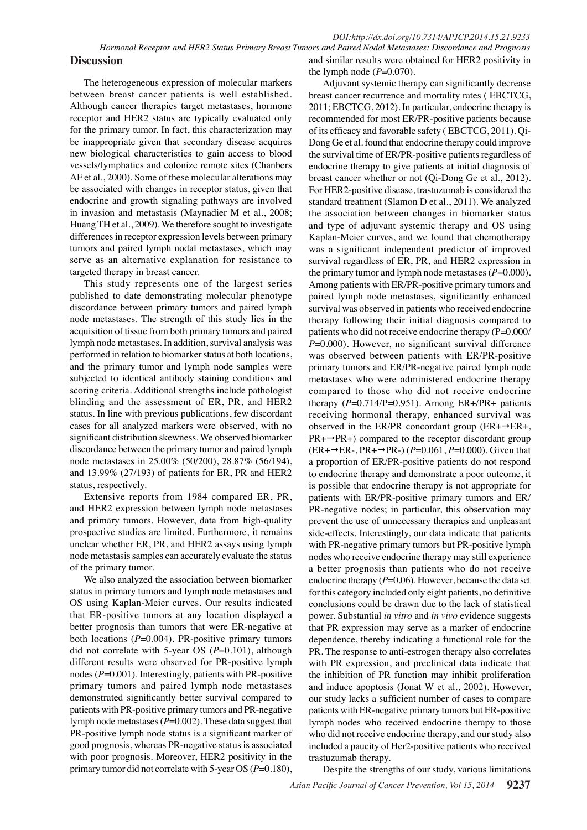The heterogeneous expression of molecular markers between breast cancer patients is well established. Although cancer therapies target metastases, hormone receptor and HER2 status are typically evaluated only for the primary tumor. In fact, this characterization may be inappropriate given that secondary disease acquires new biological characteristics to gain access to blood vessels/lymphatics and colonize remote sites (Chanbers AF et al., 2000). Some of these molecular alterations may be associated with changes in receptor status, given that endocrine and growth signaling pathways are involved in invasion and metastasis (Maynadier M et al., 2008; Huang TH et al., 2009). We therefore sought to investigate differences in receptor expression levels between primary tumors and paired lymph nodal metastases, which may serve as an alternative explanation for resistance to targeted therapy in breast cancer.

This study represents one of the largest series published to date demonstrating molecular phenotype discordance between primary tumors and paired lymph node metastases. The strength of this study lies in the acquisition of tissue from both primary tumors and paired lymph node metastases. In addition, survival analysis was performed in relation to biomarker status at both locations, and the primary tumor and lymph node samples were subjected to identical antibody staining conditions and scoring criteria. Additional strengths include pathologist blinding and the assessment of ER, PR, and HER2 status. In line with previous publications, few discordant cases for all analyzed markers were observed, with no significant distribution skewness. We observed biomarker discordance between the primary tumor and paired lymph node metastases in 25.00% (50/200), 28.87% (56/194), and 13.99% (27/193) of patients for ER, PR and HER2 status, respectively.

Extensive reports from 1984 compared ER, PR, and HER2 expression between lymph node metastases and primary tumors. However, data from high-quality prospective studies are limited. Furthermore, it remains unclear whether ER, PR, and HER2 assays using lymph node metastasis samples can accurately evaluate the status of the primary tumor.

We also analyzed the association between biomarker status in primary tumors and lymph node metastases and OS using Kaplan-Meier curves. Our results indicated that ER-positive tumors at any location displayed a better prognosis than tumors that were ER-negative at both locations (*P*=0.004). PR-positive primary tumors did not correlate with 5-year OS (*P*=0.101), although different results were observed for PR-positive lymph nodes (*P*=0.001). Interestingly, patients with PR-positive primary tumors and paired lymph node metastases demonstrated significantly better survival compared to patients with PR-positive primary tumors and PR-negative lymph node metastases (*P*=0.002). These data suggest that PR-positive lymph node status is a significant marker of good prognosis, whereas PR-negative status is associated with poor prognosis. Moreover, HER2 positivity in the primary tumor did not correlate with 5-year OS (*P*=0.180), and similar results were obtained for HER2 positivity in the lymph node  $(P=0.070)$ .

Adjuvant systemic therapy can significantly decrease breast cancer recurrence and mortality rates ( EBCTCG, 2011; EBCTCG, 2012). In particular, endocrine therapy is recommended for most ER/PR-positive patients because of its efficacy and favorable safety ( EBCTCG, 2011). Qi-Dong Ge et al. found that endocrine therapy could improve the survival time of ER/PR-positive patients regardless of endocrine therapy to give patients at initial diagnosis of breast cancer whether or not (Qi-Dong Ge et al., 2012). For HER2-positive disease, trastuzumab is considered the standard treatment (Slamon D et al., 2011). We analyzed the association between changes in biomarker status and type of adjuvant systemic therapy and OS using Kaplan-Meier curves, and we found that chemotherapy was a significant independent predictor of improved survival regardless of ER, PR, and HER2 expression in the primary tumor and lymph node metastases  $(P=0.000)$ . Among patients with ER/PR-positive primary tumors and paired lymph node metastases, significantly enhanced survival was observed in patients who received endocrine therapy following their initial diagnosis compared to patients who did not receive endocrine therapy (P=0.000/ *P*=0.000). However, no significant survival difference was observed between patients with ER/PR-positive primary tumors and ER/PR-negative paired lymph node metastases who were administered endocrine therapy compared to those who did not receive endocrine therapy  $(P=0.714/P=0.951)$ . Among ER+/PR+ patients receiving hormonal therapy, enhanced survival was observed in the ER/PR concordant group  $(ER + \rightarrow ER+,$  $PR+\rightarrow PR+$ ) compared to the receptor discordant group  $(ER+\rightarrow ER-, PR+\rightarrow PR-)$  ( $P=0.061, P=0.000$ ). Given that a proportion of ER/PR-positive patients do not respond to endocrine therapy and demonstrate a poor outcome, it is possible that endocrine therapy is not appropriate for patients with ER/PR-positive primary tumors and ER/ PR-negative nodes; in particular, this observation may prevent the use of unnecessary therapies and unpleasant side-effects. Interestingly, our data indicate that patients with PR-negative primary tumors but PR-positive lymph nodes who receive endocrine therapy may still experience a better prognosis than patients who do not receive endocrine therapy ( $P=0.06$ ). However, because the data set for this category included only eight patients, no definitive conclusions could be drawn due to the lack of statistical power. Substantial *in vitro* and *in vivo* evidence suggests that PR expression may serve as a marker of endocrine dependence, thereby indicating a functional role for the PR. The response to anti-estrogen therapy also correlates with PR expression, and preclinical data indicate that the inhibition of PR function may inhibit proliferation and induce apoptosis (Jonat W et al., 2002). However, our study lacks a sufficient number of cases to compare patients with ER-negative primary tumors but ER-positive lymph nodes who received endocrine therapy to those who did not receive endocrine therapy, and our study also included a paucity of Her2-positive patients who received trastuzumab therapy.

*Asian Pacific Journal of Cancer Prevention, Vol 15, 2014* **9237** Despite the strengths of our study, various limitations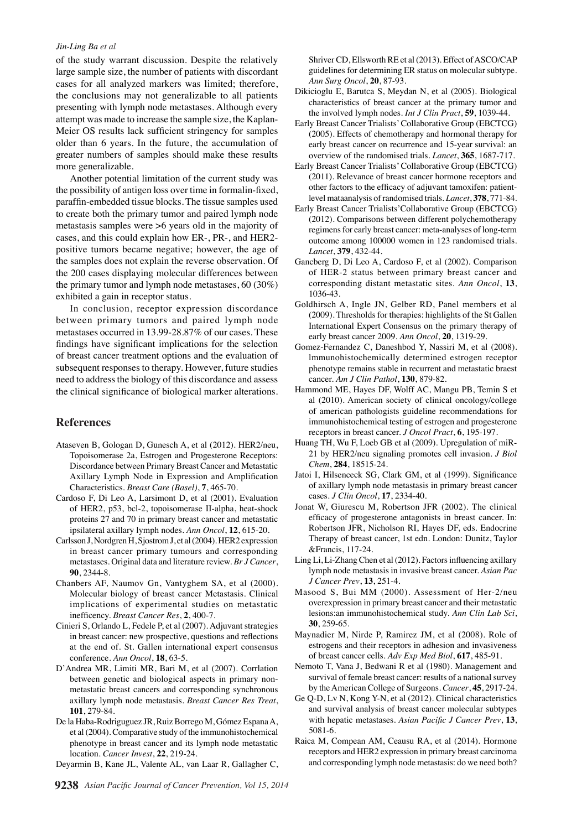#### *Jin-Ling Ba et al*

of the study warrant discussion. Despite the relatively large sample size, the number of patients with discordant cases for all analyzed markers was limited; therefore, the conclusions may not generalizable to all patients presenting with lymph node metastases. Although every attempt was made to increase the sample size, the Kaplan-Meier OS results lack sufficient stringency for samples older than 6 years. In the future, the accumulation of greater numbers of samples should make these results more generalizable.

Another potential limitation of the current study was the possibility of antigen loss over time in formalin-fixed, paraffin-embedded tissue blocks. The tissue samples used to create both the primary tumor and paired lymph node metastasis samples were >6 years old in the majority of cases, and this could explain how ER-, PR-, and HER2 positive tumors became negative; however, the age of the samples does not explain the reverse observation. Of the 200 cases displaying molecular differences between the primary tumor and lymph node metastases, 60 (30%) exhibited a gain in receptor status.

In conclusion, receptor expression discordance between primary tumors and paired lymph node metastases occurred in 13.99-28.87% of our cases. These findings have significant implications for the selection of breast cancer treatment options and the evaluation of subsequent responses to therapy. However, future studies need to address the biology of this discordance and assess the clinical significance of biological marker alterations.

#### **References**

- Ataseven B, Gologan D, Gunesch A, et al (2012). HER2/neu, Topoisomerase 2a, Estrogen and Progesterone Receptors: Discordance between Primary Breast Cancer and Metastatic Axillary Lymph Node in Expression and Amplification Characteristics. *Breast Care (Basel)*, **7**, 465-70.
- Cardoso F, Di Leo A, Larsimont D, et al (2001). Evaluation of HER2, p53, bcl-2, topoisomerase II-alpha, heat-shock proteins 27 and 70 in primary breast cancer and metastatic ipsilateral axillary lymph nodes. *Ann Oncol*, **12**, 615-20.
- Carlsson J, Nordgren H, Sjostrom J, et al (2004). HER2 expression in breast cancer primary tumours and corresponding metastases. Original data and literature review. *Br J Cancer*, **90**, 2344-8.
- Chanbers AF, Naumov Gn, Vantyghem SA, et al (2000). Molecular biology of breast cancer Metastasis. Clinical implications of experimental studies on metastatic inefficency. *Breast Cancer Res*, **2**, 400-7.
- Cinieri S, Orlando L, Fedele P, et al (2007). Adjuvant strategies in breast cancer: new prospective, questions and reflections at the end of. St. Gallen international expert consensus conference. *Ann Oncol*, **18**, 63-5.
- D'Andrea MR, Limiti MR, Bari M, et al (2007). Corrlation between genetic and biological aspects in primary nonmetastatic breast cancers and corresponding synchronous axillary lymph node metastasis. *Breast Cancer Res Treat*, **101**, 279-84.
- De la Haba-Rodriguguez JR, Ruiz Borrego M, Gómez Espana A, et al (2004). Comparative study of the immunohistochemical phenotype in breast cancer and its lymph node metastatic location. *Cancer Invest*, **22**, 219-24.
- Deyarmin B, Kane JL, Valente AL, van Laar R, Gallagher C,

Shriver CD, Ellsworth RE et al (2013). Effect of ASCO/CAP guidelines for determining ER status on molecular subtype. *Ann Surg Oncol*, **20**, 87-93.

- Dikicioglu E, Barutca S, Meydan N, et al (2005). Biological characteristics of breast cancer at the primary tumor and the involved lymph nodes. *Int J Clin Pract*, **59**, 1039-44.
- Early Breast Cancer Trialists' Collaborative Group (EBCTCG) (2005). Effects of chemotherapy and hormonal therapy for early breast cancer on recurrence and 15-year survival: an overview of the randomised trials. *Lancet*, **365**, 1687-717.
- Early Breast Cancer Trialists' Collaborative Group (EBCTCG) (2011). Relevance of breast cancer hormone receptors and other factors to the efficacy of adjuvant tamoxifen: patientlevel mataanalysis of randomised trials. *Lancet*, **378**, 771-84.
- Early Breast Cancer Trialists'Collaborative Group (EBCTCG) (2012). Comparisons between different polychemotherapy regimens for early breast cancer: meta-analyses of long-term outcome among 100000 women in 123 randomised trials. *Lancet*, **379**, 432-44.
- Gancberg D, Di Leo A, Cardoso F, et al (2002). Comparison of HER-2 status between primary breast cancer and corresponding distant metastatic sites. *Ann Oncol*, **13**, 1036-43.
- Goldhirsch A, Ingle JN, Gelber RD, Panel members et al (2009). Thresholds for therapies: highlights of the St Gallen International Expert Consensus on the primary therapy of early breast cancer 2009. *Ann Oncol*, **20**, 1319-29.
- Gomez-Fernandez C, Daneshbod Y, Nassiri M, et al (2008). lmmunohistochemically determined estrogen receptor phenotype remains stable in recurrent and metastatic braest cancer. *Am J Clin Pathol*, **130**, 879-82.
- Hammond ME, Hayes DF, Wolff AC, Mangu PB, Temin S et al (2010). American society of clinical oncology/college of american pathologists guideline recommendations for immunohistochemical testing of estrogen and progesterone receptors in breast cancer. *J Oncol Pract*, **6**, 195-197.
- Huang TH, Wu F, Loeb GB et al (2009). Upregulation of miR-21 by HER2/neu signaling promotes cell invasion. *J Biol Chem*, **284**, 18515-24.
- Jatoi I, Hilsenceck SG, Clark GM, et al (1999). Significance of axillary lymph node metastasis in primary breast cancer cases. *J Clin Oncol*, **17**, 2334-40.
- Jonat W, Giurescu M, Robertson JFR (2002). The clinical efficacy of progesterone antagonists in breast cancer. In: Robertson JFR, Nicholson RI, Hayes DF, eds. Endocrine Therapy of breast cancer, 1st edn. London: Dunitz, Taylor &Francis, 117-24.
- Ling Li, Li-Zhang Chen et al (2012). Factors influencing axillary lymph node metastasis in invasive breast cancer. *Asian Pac J Cancer Prev*, **13**, 251-4.
- Masood S, Bui MM (2000). Assessment of Her-2/neu overexpression in primary breast cancer and their metastatic lesions:an immunohistochemical study. *Ann Clin Lab Sci*, **30**, 259-65.
- Maynadier M, Nirde P, Ramirez JM, et al (2008). Role of estrogens and their receptors in adhesion and invasiveness of breast cancer cells. *Adv Exp Med Biol*, **617**, 485-91.
- Nemoto T, Vana J, Bedwani R et al (1980). Management and survival of female breast cancer: results of a national survey by the American College of Surgeons. *Cancer*, **45**, 2917-24.
- Ge Q-D, Lv N, Kong Y-N, et al (2012). Clinical characteristics and survival analysis of breast cancer molecular subtypes with hepatic metastases. *Asian Pacific J Cancer Prev*, **13**, 5081-6.
- Raica M, Compean AM, Ceausu RA, et al (2014). Hormone receptors and HER2 expression in primary breast carcinoma and corresponding lymph node metastasis: do we need both?